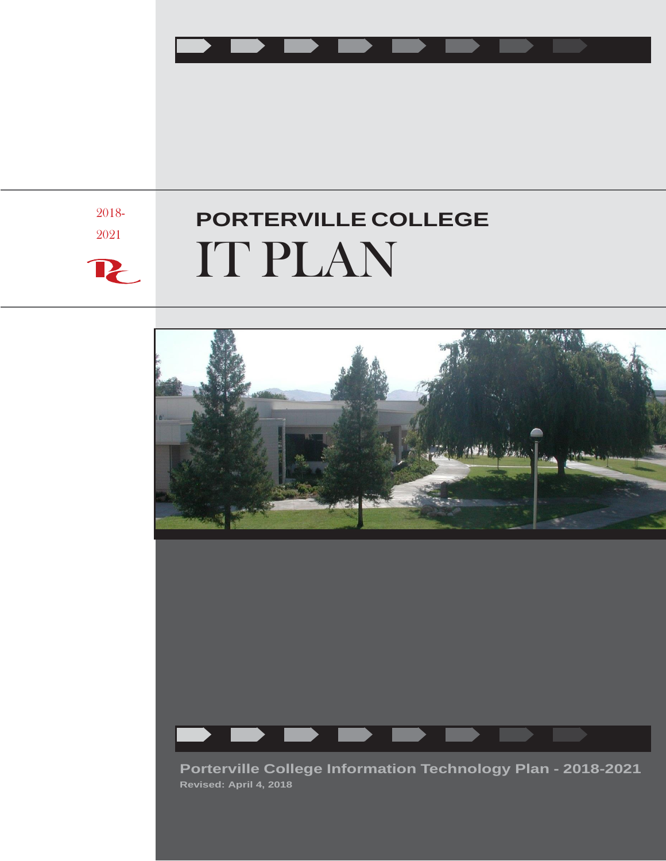

2018-

2021

 $\mathbf{P}_{\!\!\mathsf{C}}$ 

# **PORTERVILLE COLLEGE** IT PLAN





**Porterville College Information Technology Plan - 2018-2021 Revised: April 4, 2018**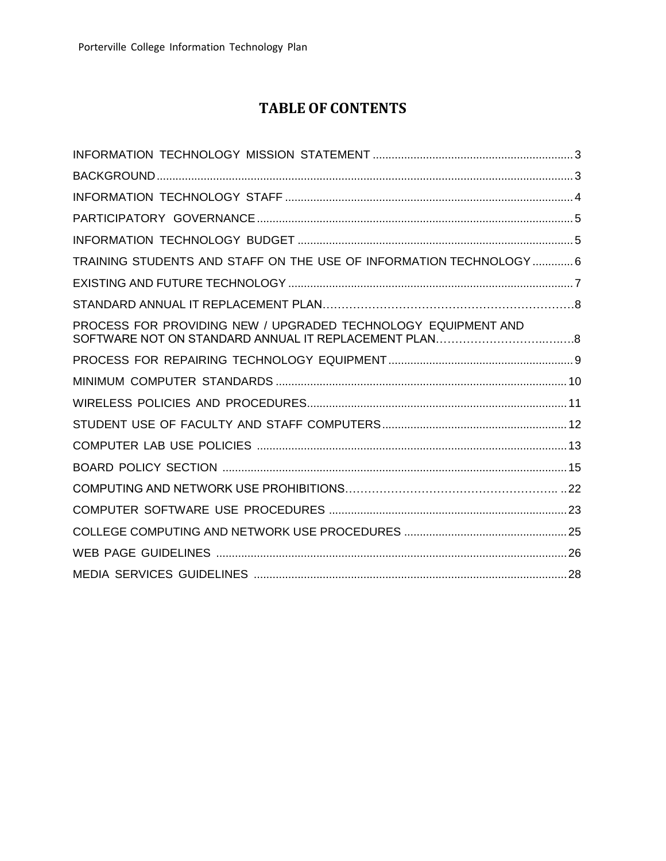## **TABLE OF CONTENTS**

| TRAINING STUDENTS AND STAFF ON THE USE OF INFORMATION TECHNOLOGY 6 |
|--------------------------------------------------------------------|
|                                                                    |
|                                                                    |
| PROCESS FOR PROVIDING NEW / UPGRADED TECHNOLOGY EQUIPMENT AND      |
|                                                                    |
|                                                                    |
|                                                                    |
|                                                                    |
|                                                                    |
|                                                                    |
|                                                                    |
|                                                                    |
|                                                                    |
|                                                                    |
|                                                                    |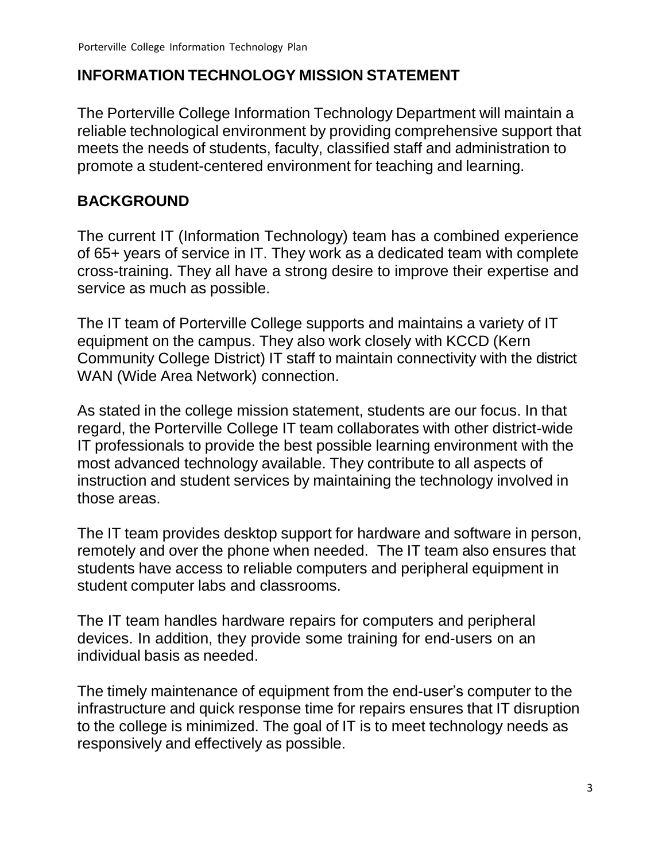# <span id="page-2-0"></span>**INFORMATION TECHNOLOGY MISSION STATEMENT**

The Porterville College Information Technology Department will maintain a reliable technological environment by providing comprehensive support that meets the needs of students, faculty, classified staff and administration to promote a student-centered environment for teaching and learning.

## <span id="page-2-1"></span>**BACKGROUND**

The current IT (Information Technology) team has a combined experience of 65+ years of service in IT. They work as a dedicated team with complete cross-training. They all have a strong desire to improve their expertise and service as much as possible.

The IT team of Porterville College supports and maintains a variety of IT equipment on the campus. They also work closely with KCCD (Kern Community College District) IT staff to maintain connectivity with the district WAN (Wide Area Network) connection.

As stated in the college mission statement, students are our focus. In that regard, the Porterville College IT team collaborates with other district-wide IT professionals to provide the best possible learning environment with the most advanced technology available. They contribute to all aspects of instruction and student services by maintaining the technology involved in those areas.

The IT team provides desktop support for hardware and software in person, remotely and over the phone when needed. The IT team also ensures that students have access to reliable computers and peripheral equipment in student computer labs and classrooms.

The IT team handles hardware repairs for computers and peripheral devices. In addition, they provide some training for end-users on an individual basis as needed.

The timely maintenance of equipment from the end-user's computer to the infrastructure and quick response time for repairs ensures that IT disruption to the college is minimized. The goal of IT is to meet technology needs as responsively and effectively as possible.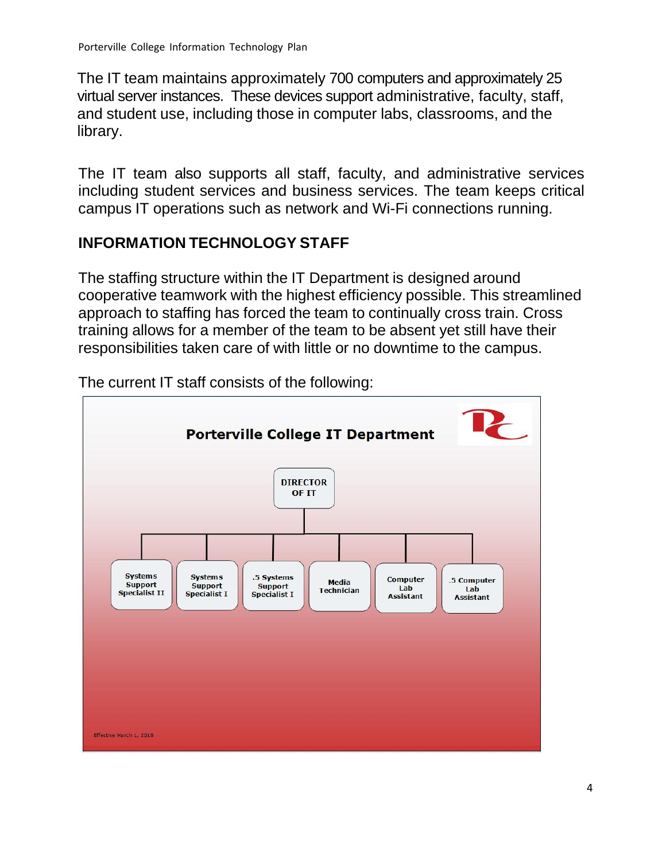The IT team maintains approximately 700 computers and approximately 25 virtual server instances. These devices support administrative, faculty, staff, and student use, including those in computer labs, classrooms, and the library.

The IT team also supports all staff, faculty, and administrative services including student services and business services. The team keeps critical campus IT operations such as network and Wi-Fi connections running.

# <span id="page-3-0"></span>**INFORMATION TECHNOLOGY STAFF**

The staffing structure within the IT Department is designed around cooperative teamwork with the highest efficiency possible. This streamlined approach to staffing has forced the team to continually cross train. Cross training allows for a member of the team to be absent yet still have their responsibilities taken care of with little or no downtime to the campus.



The current IT staff consists of the following: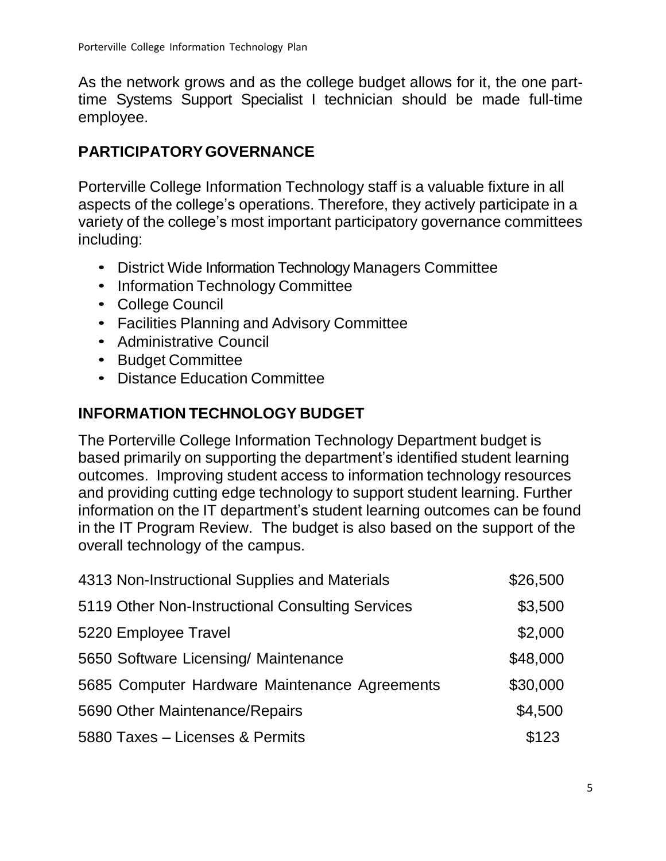As the network grows and as the college budget allows for it, the one parttime Systems Support Specialist I technician should be made full-time employee.

# <span id="page-4-0"></span>**PARTICIPATORYGOVERNANCE**

Porterville College Information Technology staff is a valuable fixture in all aspects of the college's operations. Therefore, they actively participate in a variety of the college's most important participatory governance committees including:

- District Wide Information Technology Managers Committee
- Information Technology Committee
- College Council
- Facilities Planning and Advisory Committee
- Administrative Council
- Budget Committee
- Distance Education Committee

# <span id="page-4-1"></span>**INFORMATION TECHNOLOGY BUDGET**

The Porterville College Information Technology Department budget is based primarily on supporting the department's identified student learning outcomes. Improving student access to information technology resources and providing cutting edge technology to support student learning. Further information on the IT department's student learning outcomes can be found in the IT Program Review. The budget is also based on the support of the overall technology of the campus.

| 4313 Non-Instructional Supplies and Materials    | \$26,500 |
|--------------------------------------------------|----------|
| 5119 Other Non-Instructional Consulting Services | \$3,500  |
| 5220 Employee Travel                             | \$2,000  |
| 5650 Software Licensing/ Maintenance             | \$48,000 |
| 5685 Computer Hardware Maintenance Agreements    | \$30,000 |
| 5690 Other Maintenance/Repairs                   | \$4,500  |
| 5880 Taxes - Licenses & Permits                  | \$123    |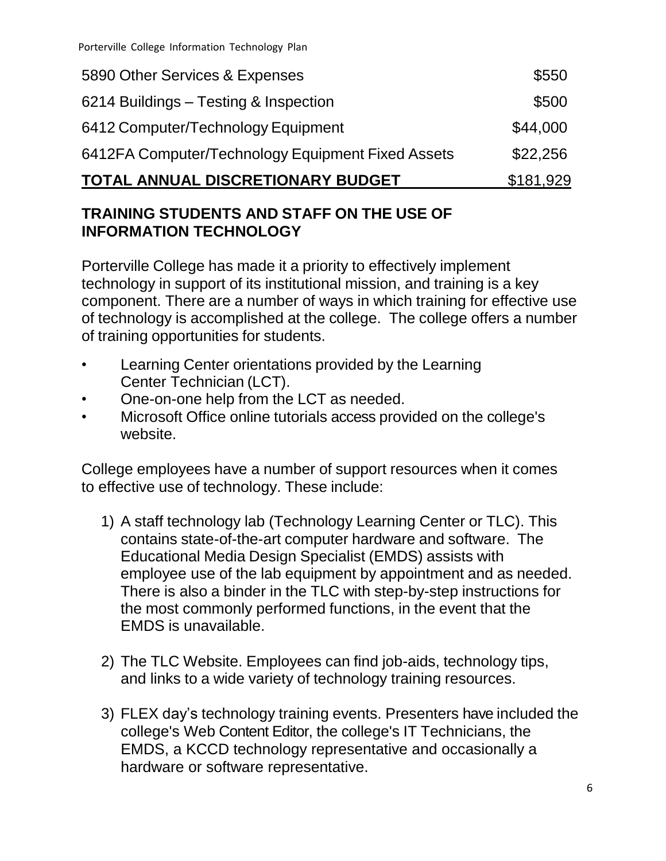| TOTAL ANNUAL DISCRETIONARY BUDGET                 | \$181,929 |
|---------------------------------------------------|-----------|
| 6412FA Computer/Technology Equipment Fixed Assets | \$22,256  |
| 6412 Computer/Technology Equipment                | \$44,000  |
| 6214 Buildings – Testing & Inspection             | \$500     |
| 5890 Other Services & Expenses                    | \$550     |

### **TRAINING STUDENTS AND STAFF ON THE USE OF INFORMATION TECHNOLOGY**

Porterville College has made it a priority to effectively implement technology in support of its institutional mission, and training is a key component. There are a number of ways in which training for effective use of technology is accomplished at the college. The college offers a number of training opportunities for students.

- Learning Center orientations provided by the Learning Center Technician (LCT).
- One-on-one help from the LCT as needed.
- Microsoft Office online tutorials access provided on the college's website.

College employees have a number of support resources when it comes to effective use of technology. These include:

- 1) A staff technology lab (Technology Learning Center or TLC). This contains state-of-the-art computer hardware and software. The Educational Media Design Specialist (EMDS) assists with employee use of the lab equipment by appointment and as needed. There is also a binder in the TLC with step-by-step instructions for the most commonly performed functions, in the event that the EMDS is unavailable.
- 2) The TLC Website. Employees can find job-aids, technology tips, and links to a wide variety of technology training resources.
- 3) FLEX day's technology training events. Presenters have included the college's Web Content Editor, the college's IT Technicians, the EMDS, a KCCD technology representative and occasionally a hardware or software representative.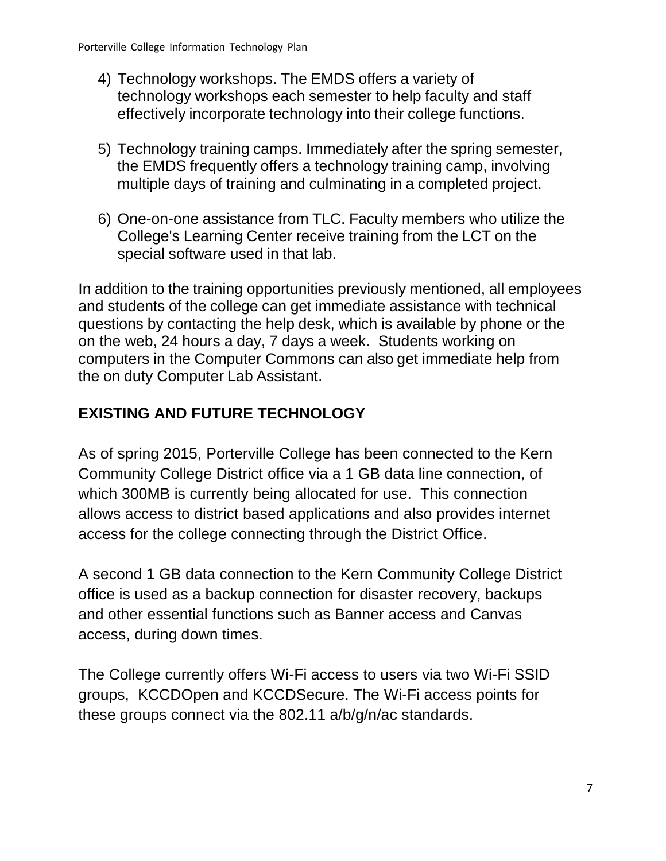- 4) Technology workshops. The EMDS offers a variety of technology workshops each semester to help faculty and staff effectively incorporate technology into their college functions.
- 5) Technology training camps. Immediately after the spring semester, the EMDS frequently offers a technology training camp, involving multiple days of training and culminating in a completed project.
- 6) One-on-one assistance from TLC. Faculty members who utilize the College's Learning Center receive training from the LCT on the special software used in that lab.

In addition to the training opportunities previously mentioned, all employees and students of the college can get immediate assistance with technical questions by contacting the help desk, which is available by phone or the on the web, 24 hours a day, 7 days a week. Students working on computers in the Computer Commons can also get immediate help from the on duty Computer Lab Assistant.

# **EXISTING AND FUTURE TECHNOLOGY**

As of spring 2015, Porterville College has been connected to the Kern Community College District office via a 1 GB data line connection, of which 300MB is currently being allocated for use. This connection allows access to district based applications and also provides internet access for the college connecting through the District Office.

A second 1 GB data connection to the Kern Community College District office is used as a backup connection for disaster recovery, backups and other essential functions such as Banner access and Canvas access, during down times.

The College currently offers Wi-Fi access to users via two Wi-Fi SSID groups, KCCDOpen and KCCDSecure. The Wi-Fi access points for these groups connect via the 802.11 a/b/g/n/ac standards.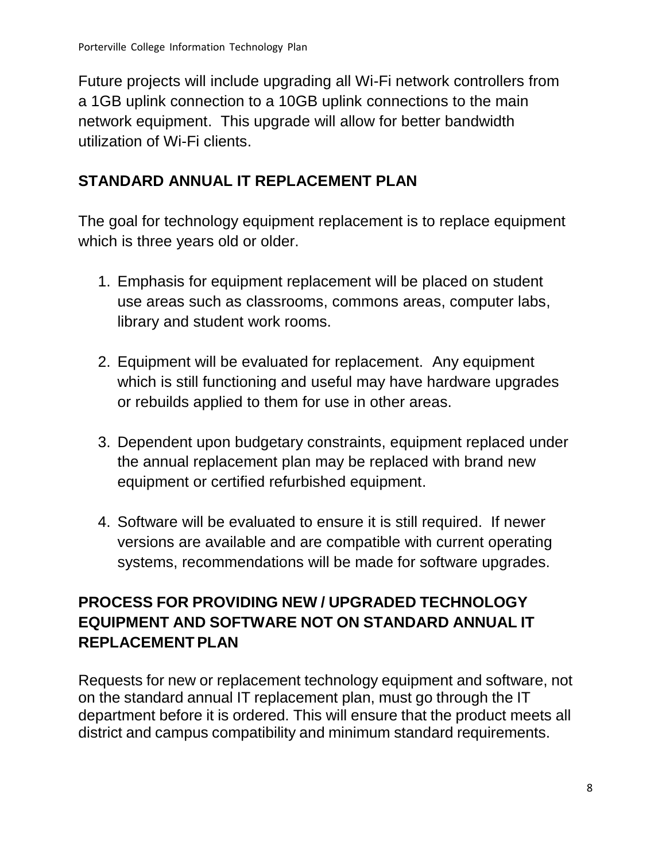Future projects will include upgrading all Wi-Fi network controllers from a 1GB uplink connection to a 10GB uplink connections to the main network equipment. This upgrade will allow for better bandwidth utilization of Wi-Fi clients.

# **STANDARD ANNUAL IT REPLACEMENT PLAN**

The goal for technology equipment replacement is to replace equipment which is three years old or older.

- 1. Emphasis for equipment replacement will be placed on student use areas such as classrooms, commons areas, computer labs, library and student work rooms.
- 2. Equipment will be evaluated for replacement. Any equipment which is still functioning and useful may have hardware upgrades or rebuilds applied to them for use in other areas.
- 3. Dependent upon budgetary constraints, equipment replaced under the annual replacement plan may be replaced with brand new equipment or certified refurbished equipment.
- 4. Software will be evaluated to ensure it is still required. If newer versions are available and are compatible with current operating systems, recommendations will be made for software upgrades.

# **PROCESS FOR PROVIDING NEW / UPGRADED TECHNOLOGY EQUIPMENT AND SOFTWARE NOT ON STANDARD ANNUAL IT REPLACEMENT PLAN**

Requests for new or replacement technology equipment and software, not on the standard annual IT replacement plan, must go through the IT department before it is ordered. This will ensure that the product meets all district and campus compatibility and minimum standard requirements.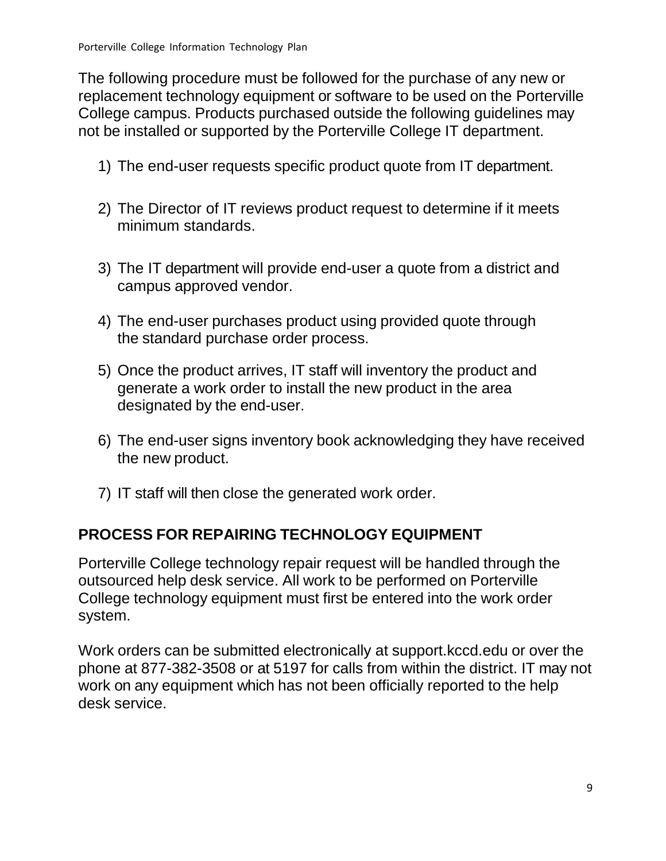The following procedure must be followed for the purchase of any new or replacement technology equipment or software to be used on the Porterville College campus. Products purchased outside the following guidelines may not be installed or supported by the Porterville College IT department.

- 1) The end-user requests specific product quote from IT department.
- 2) The Director of IT reviews product request to determine if it meets minimum standards.
- 3) The IT department will provide end-user a quote from a district and campus approved vendor.
- 4) The end-user purchases product using provided quote through the standard purchase order process.
- 5) Once the product arrives, IT staff will inventory the product and generate a work order to install the new product in the area designated by the end-user.
- 6) The end-user signs inventory book acknowledging they have received the new product.
- 7) IT staff will then close the generated work order.

## <span id="page-8-0"></span>**PROCESS FOR REPAIRING TECHNOLOGY EQUIPMENT**

Porterville College technology repair request will be handled through the outsourced help desk service. All work to be performed on Porterville College technology equipment must first be entered into the work order system.

Work orders can be submitted electronically at support.kccd.edu or over the phone at 877-382-3508 or at 5197 for calls from within the district. IT may not work on any equipment which has not been officially reported to the help desk service.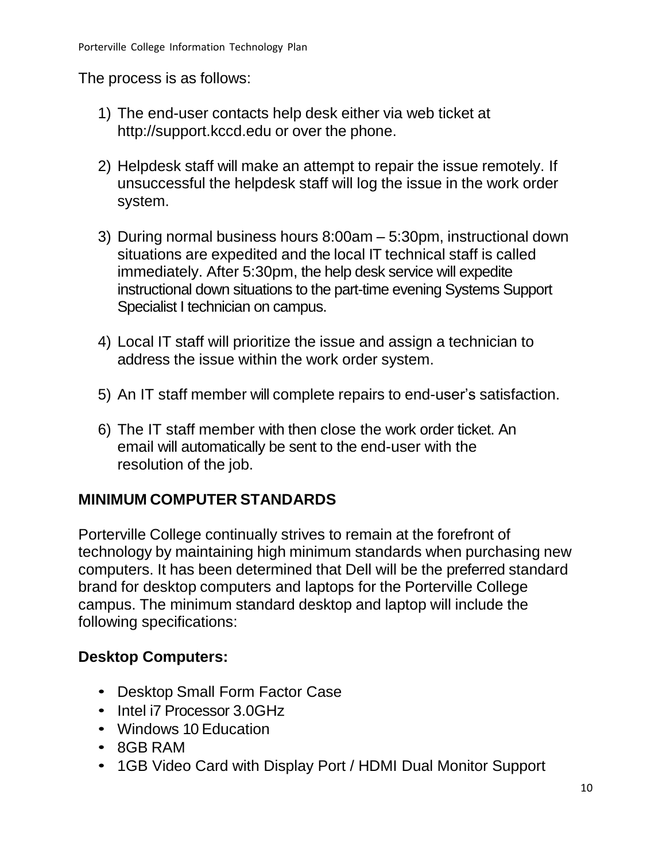The process is as follows:

- 1) The end-user contacts help desk either via web ticket a[t](http://support.kccd.edu/) [http://support.kccd.edu](http://support.kccd.edu/) or over the phone.
- 2) Helpdesk staff will make an attempt to repair the issue remotely. If unsuccessful the helpdesk staff will log the issue in the work order system.
- 3) During normal business hours 8:00am 5:30pm, instructional down situations are expedited and the local IT technical staff is called immediately. After 5:30pm, the help desk service will expedite instructional down situations to the part-time evening Systems Support Specialist I technician on campus.
- 4) Local IT staff will prioritize the issue and assign a technician to address the issue within the work order system.
- 5) An IT staff member will complete repairs to end-user's satisfaction.
- 6) The IT staff member with then close the work order ticket. An email will automatically be sent to the end-user with the resolution of the job.

## <span id="page-9-0"></span>**MINIMUM COMPUTER STANDARDS**

Porterville College continually strives to remain at the forefront of technology by maintaining high minimum standards when purchasing new computers. It has been determined that Dell will be the preferred standard brand for desktop computers and laptops for the Porterville College campus. The minimum standard desktop and laptop will include the following specifications:

# **Desktop Computers:**

- Desktop Small Form Factor Case
- Intel i7 Processor 3.0GHz
- Windows 10 Education
- 8GB RAM
- 1GB Video Card with Display Port / HDMI Dual Monitor Support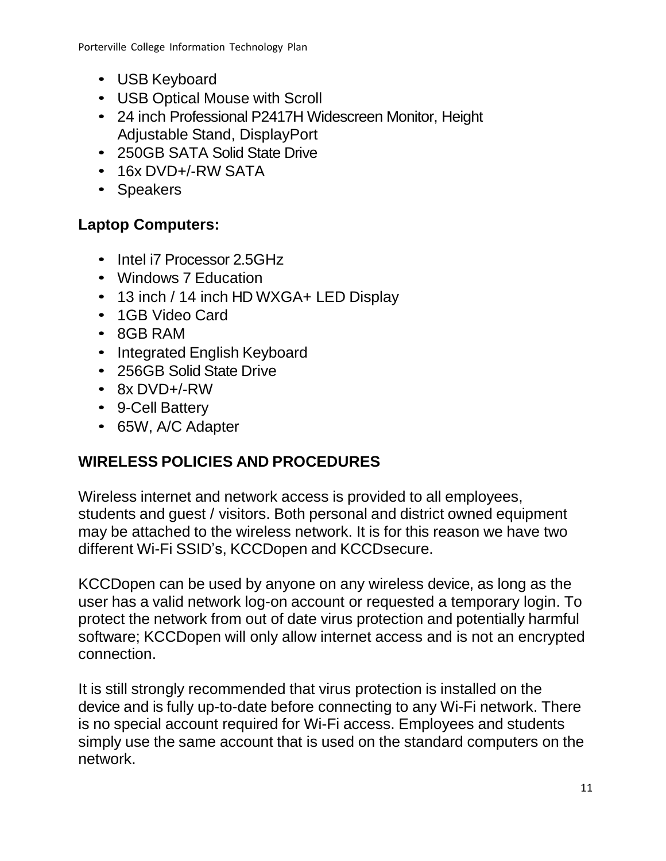- USB Keyboard
- USB Optical Mouse with Scroll
- 24 inch Professional P2417H Widescreen Monitor, Height Adjustable Stand, DisplayPort
- 250GB SATA Solid State Drive
- 16x DVD+/-RW SATA
- Speakers

# **Laptop Computers:**

- Intel i7 Processor 2.5GHz
- Windows 7 Education
- 13 inch / 14 inch HD WXGA+ LED Display
- 1GB Video Card
- 8GB RAM
- Integrated English Keyboard
- 256GB Solid State Drive
- 8x DVD+/-RW
- 9-Cell Battery
- 65W, A/C Adapter

# <span id="page-10-0"></span>**WIRELESS POLICIES AND PROCEDURES**

Wireless internet and network access is provided to all employees, students and guest / visitors. Both personal and district owned equipment may be attached to the wireless network. It is for this reason we have two different Wi-Fi SSID's, KCCDopen and KCCDsecure.

KCCDopen can be used by anyone on any wireless device, as long as the user has a valid network log-on account or requested a temporary login. To protect the network from out of date virus protection and potentially harmful software; KCCDopen will only allow internet access and is not an encrypted connection.

It is still strongly recommended that virus protection is installed on the device and is fully up-to-date before connecting to any Wi-Fi network. There is no special account required for Wi-Fi access. Employees and students simply use the same account that is used on the standard computers on the network.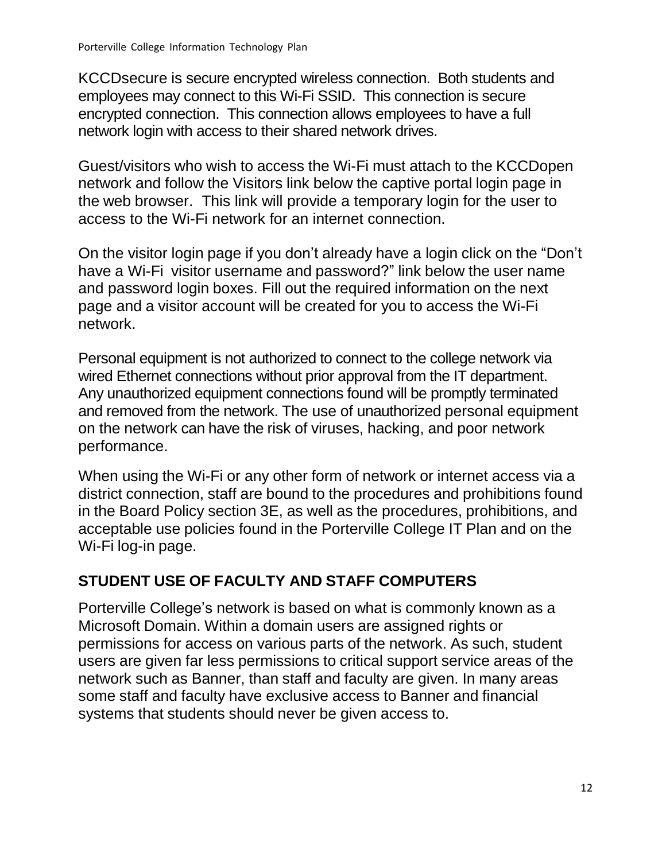KCCDsecure is secure encrypted wireless connection. Both students and employees may connect to this Wi-Fi SSID. This connection is secure encrypted connection. This connection allows employees to have a full network login with access to their shared network drives.

Guest/visitors who wish to access the Wi-Fi must attach to the KCCDopen network and follow the Visitors link below the captive portal login page in the web browser. This link will provide a temporary login for the user to access to the Wi-Fi network for an internet connection.

On the visitor login page if you don't already have a login click on the "Don't have a Wi-Fi visitor username and password?" link below the user name and password login boxes. Fill out the required information on the next page and a visitor account will be created for you to access the Wi-Fi network.

Personal equipment is not authorized to connect to the college network via wired Ethernet connections without prior approval from the IT department. Any unauthorized equipment connections found will be promptly terminated and removed from the network. The use of unauthorized personal equipment on the network can have the risk of viruses, hacking, and poor network performance.

When using the Wi-Fi or any other form of network or internet access via a district connection, staff are bound to the procedures and prohibitions found in the Board Policy section 3E, as well as the procedures, prohibitions, and acceptable use policies found in the Porterville College IT Plan and on the Wi-Fi log-in page.

# <span id="page-11-0"></span>**STUDENT USE OF FACULTY AND STAFF COMPUTERS**

Porterville College's network is based on what is commonly known as a Microsoft Domain. Within a domain users are assigned rights or permissions for access on various parts of the network. As such, student users are given far less permissions to critical support service areas of the network such as Banner, than staff and faculty are given. In many areas some staff and faculty have exclusive access to Banner and financial systems that students should never be given access to.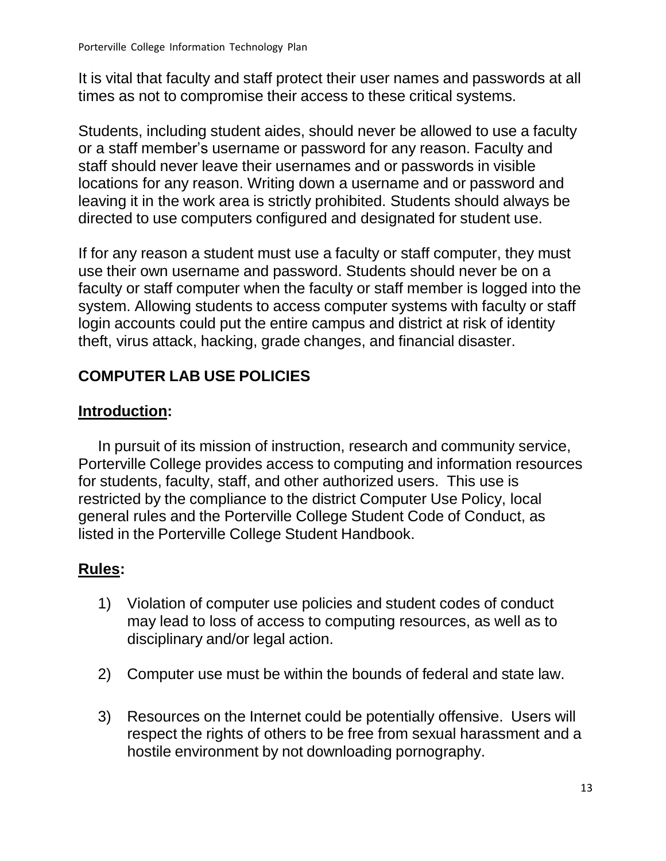It is vital that faculty and staff protect their user names and passwords at all times as not to compromise their access to these critical systems.

Students, including student aides, should never be allowed to use a faculty or a staff member's username or password for any reason. Faculty and staff should never leave their usernames and or passwords in visible locations for any reason. Writing down a username and or password and leaving it in the work area is strictly prohibited. Students should always be directed to use computers configured and designated for student use.

If for any reason a student must use a faculty or staff computer, they must use their own username and password. Students should never be on a faculty or staff computer when the faculty or staff member is logged into the system. Allowing students to access computer systems with faculty or staff login accounts could put the entire campus and district at risk of identity theft, virus attack, hacking, grade changes, and financial disaster.

# <span id="page-12-0"></span>**COMPUTER LAB USE POLICIES**

## **Introduction:**

In pursuit of its mission of instruction, research and community service, Porterville College provides access to computing and information resources for students, faculty, staff, and other authorized users. This use is restricted by the compliance to the district Computer Use Policy, local general rules and the Porterville College Student Code of Conduct, as listed in the Porterville College Student Handbook.

# **Rules:**

- 1) Violation of computer use policies and student codes of conduct may lead to loss of access to computing resources, as well as to disciplinary and/or legal action.
- 2) Computer use must be within the bounds of federal and state law.
- 3) Resources on the Internet could be potentially offensive. Users will respect the rights of others to be free from sexual harassment and a hostile environment by not downloading pornography.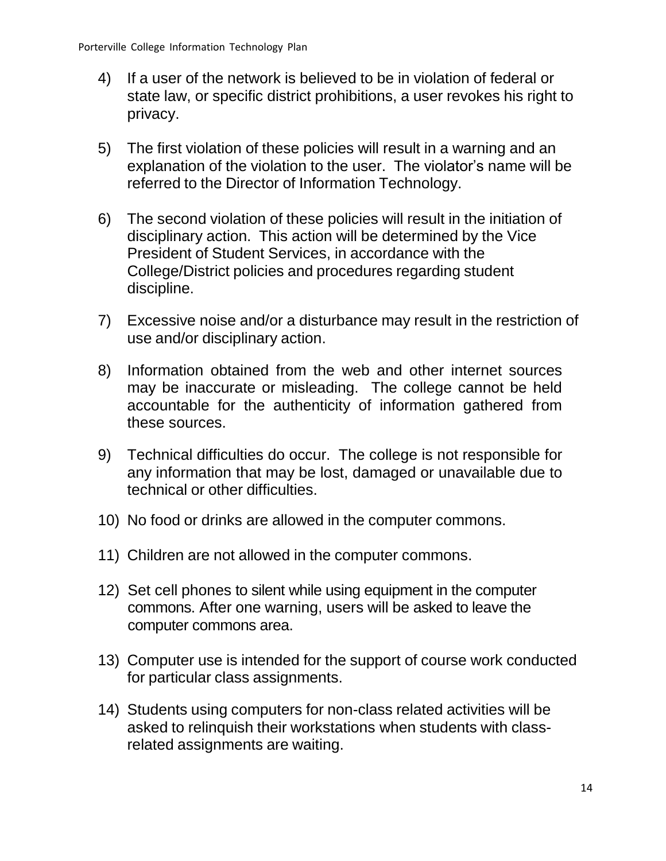- 4) If a user of the network is believed to be in violation of federal or state law, or specific district prohibitions, a user revokes his right to privacy.
- 5) The first violation of these policies will result in a warning and an explanation of the violation to the user. The violator's name will be referred to the Director of Information Technology.
- 6) The second violation of these policies will result in the initiation of disciplinary action. This action will be determined by the Vice President of Student Services, in accordance with the College/District policies and procedures regarding student discipline.
- 7) Excessive noise and/or a disturbance may result in the restriction of use and/or disciplinary action.
- 8) Information obtained from the web and other internet sources may be inaccurate or misleading. The college cannot be held accountable for the authenticity of information gathered from these sources.
- 9) Technical difficulties do occur. The college is not responsible for any information that may be lost, damaged or unavailable due to technical or other difficulties.
- 10) No food or drinks are allowed in the computer commons.
- 11) Children are not allowed in the computer commons.
- 12) Set cell phones to silent while using equipment in the computer commons. After one warning, users will be asked to leave the computer commons area.
- 13) Computer use is intended for the support of course work conducted for particular class assignments.
- <span id="page-13-0"></span>14) Students using computers for non-class related activities will be asked to relinquish their workstations when students with classrelated assignments are waiting.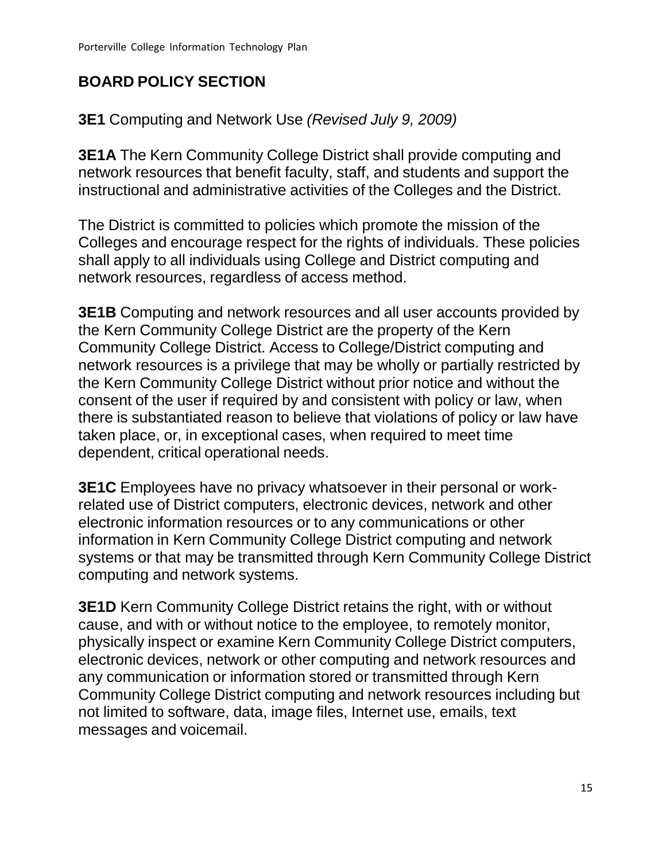# **BOARD POLICY SECTION**

**3E1** Computing and Network Use *(Revised July 9, 2009)*

**3E1A** The Kern Community College District shall provide computing and network resources that benefit faculty, staff, and students and support the instructional and administrative activities of the Colleges and the District.

The District is committed to policies which promote the mission of the Colleges and encourage respect for the rights of individuals. These policies shall apply to all individuals using College and District computing and network resources, regardless of access method.

**3E1B** Computing and network resources and all user accounts provided by the Kern Community College District are the property of the Kern Community College District. Access to College/District computing and network resources is a privilege that may be wholly or partially restricted by the Kern Community College District without prior notice and without the consent of the user if required by and consistent with policy or law, when there is substantiated reason to believe that violations of policy or law have taken place, or, in exceptional cases, when required to meet time dependent, critical operational needs.

**3E1C** Employees have no privacy whatsoever in their personal or workrelated use of District computers, electronic devices, network and other electronic information resources or to any communications or other information in Kern Community College District computing and network systems or that may be transmitted through Kern Community College District computing and network systems.

**3E1D** Kern Community College District retains the right, with or without cause, and with or without notice to the employee, to remotely monitor, physically inspect or examine Kern Community College District computers, electronic devices, network or other computing and network resources and any communication or information stored or transmitted through Kern Community College District computing and network resources including but not limited to software, data, image files, Internet use, emails, text messages and voicemail.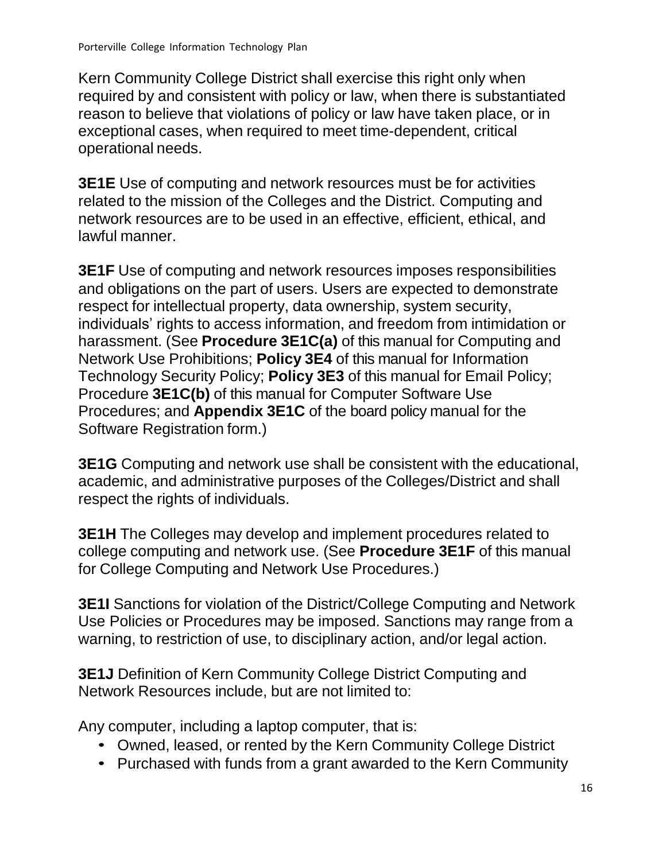Kern Community College District shall exercise this right only when required by and consistent with policy or law, when there is substantiated reason to believe that violations of policy or law have taken place, or in exceptional cases, when required to meet time-dependent, critical operational needs.

**3E1E** Use of computing and network resources must be for activities related to the mission of the Colleges and the District. Computing and network resources are to be used in an effective, efficient, ethical, and lawful manner.

**3E1F** Use of computing and network resources imposes responsibilities and obligations on the part of users. Users are expected to demonstrate respect for intellectual property, data ownership, system security, individuals' rights to access information, and freedom from intimidation or harassment. (See **Procedure 3E1C(a)** of this manual for Computing and Network Use Prohibitions; **Policy 3E4** of this manual for Information Technology Security Policy; **Policy 3E3** of this manual for Email Policy; Procedure **3E1C(b)** of this manual for Computer Software Use Procedures; and **Appendix 3E1C** of the board policy manual for the Software Registration form.)

**3E1G** Computing and network use shall be consistent with the educational, academic, and administrative purposes of the Colleges/District and shall respect the rights of individuals.

**3E1H** The Colleges may develop and implement procedures related to college computing and network use. (See **Procedure 3E1F** of this manual for College Computing and Network Use Procedures.)

**3E1I** Sanctions for violation of the District/College Computing and Network Use Policies or Procedures may be imposed. Sanctions may range from a warning, to restriction of use, to disciplinary action, and/or legal action.

**3E1J** Definition of Kern Community College District Computing and Network Resources include, but are not limited to:

Any computer, including a laptop computer, that is:

- Owned, leased, or rented by the Kern Community College District
- Purchased with funds from a grant awarded to the Kern Community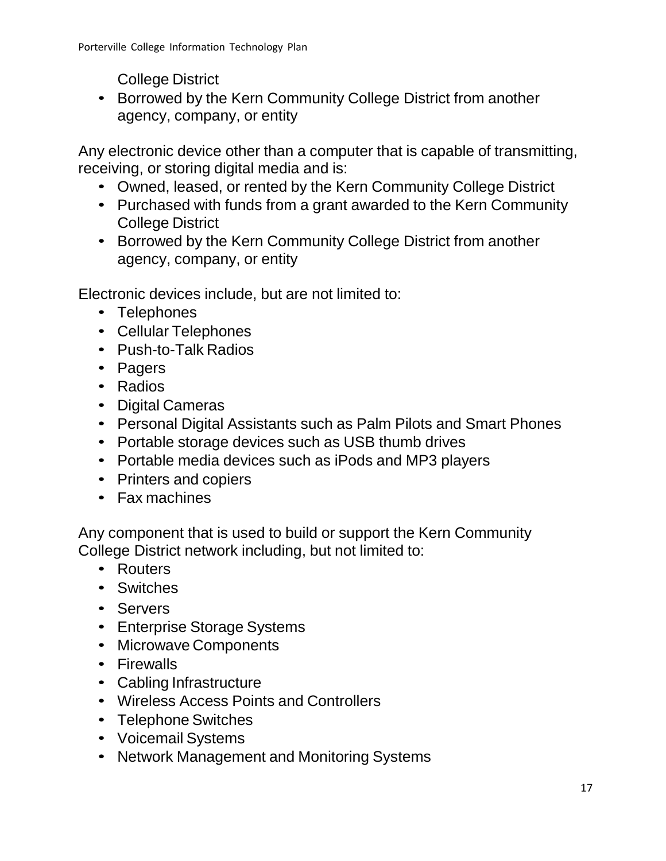College District

• Borrowed by the Kern Community College District from another agency, company, or entity

Any electronic device other than a computer that is capable of transmitting, receiving, or storing digital media and is:

- Owned, leased, or rented by the Kern Community College District
- Purchased with funds from a grant awarded to the Kern Community College District
- Borrowed by the Kern Community College District from another agency, company, or entity

Electronic devices include, but are not limited to:

- Telephones
- Cellular Telephones
- Push-to-Talk Radios
- Pagers
- Radios
- Digital Cameras
- Personal Digital Assistants such as Palm Pilots and Smart Phones
- Portable storage devices such as USB thumb drives
- Portable media devices such as iPods and MP3 players
- Printers and copiers
- Fax machines

Any component that is used to build or support the Kern Community College District network including, but not limited to:

- Routers
- Switches
- Servers
- Enterprise Storage Systems
- Microwave Components
- Firewalls
- Cabling Infrastructure
- Wireless Access Points and Controllers
- Telephone Switches
- Voicemail Systems
- Network Management and Monitoring Systems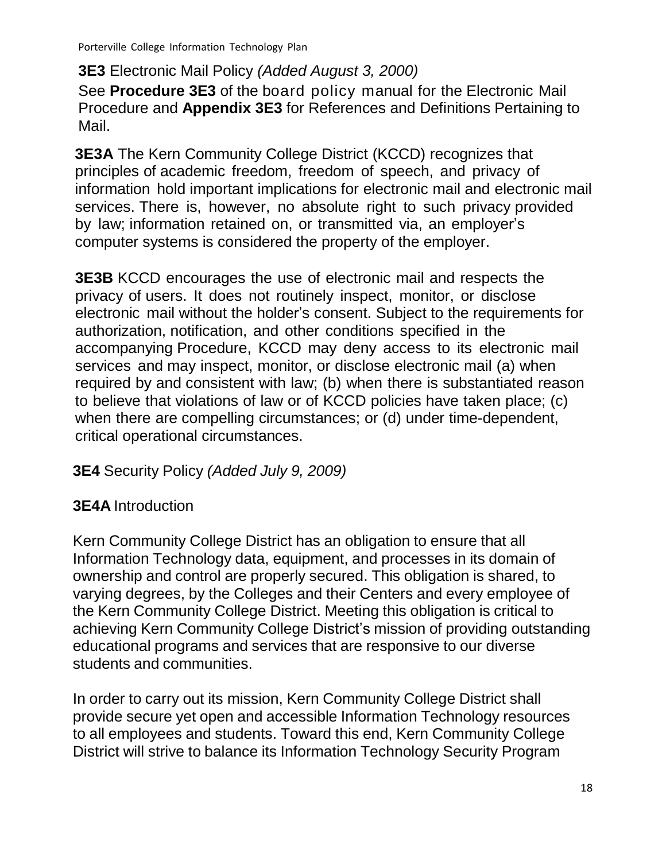**3E3** Electronic Mail Policy *(Added August 3, 2000)*

See **Procedure 3E3** of the board policy manual for the Electronic Mail Procedure and **Appendix 3E3** for References and Definitions Pertaining to Mail.

**3E3A** The Kern Community College District (KCCD) recognizes that principles of academic freedom, freedom of speech, and privacy of information hold important implications for electronic mail and electronic mail services. There is, however, no absolute right to such privacy provided by law; information retained on, or transmitted via, an employer's computer systems is considered the property of the employer.

**3E3B** KCCD encourages the use of electronic mail and respects the privacy of users. It does not routinely inspect, monitor, or disclose electronic mail without the holder's consent. Subject to the requirements for authorization, notification, and other conditions specified in the accompanying Procedure, KCCD may deny access to its electronic mail services and may inspect, monitor, or disclose electronic mail (a) when required by and consistent with law; (b) when there is substantiated reason to believe that violations of law or of KCCD policies have taken place; (c) when there are compelling circumstances; or (d) under time-dependent, critical operational circumstances.

# **3E4** Security Policy *(Added July 9, 2009)*

## **3E4A** Introduction

Kern Community College District has an obligation to ensure that all Information Technology data, equipment, and processes in its domain of ownership and control are properly secured. This obligation is shared, to varying degrees, by the Colleges and their Centers and every employee of the Kern Community College District. Meeting this obligation is critical to achieving Kern Community College District's mission of providing outstanding educational programs and services that are responsive to our diverse students and communities.

In order to carry out its mission, Kern Community College District shall provide secure yet open and accessible Information Technology resources to all employees and students. Toward this end, Kern Community College District will strive to balance its Information Technology Security Program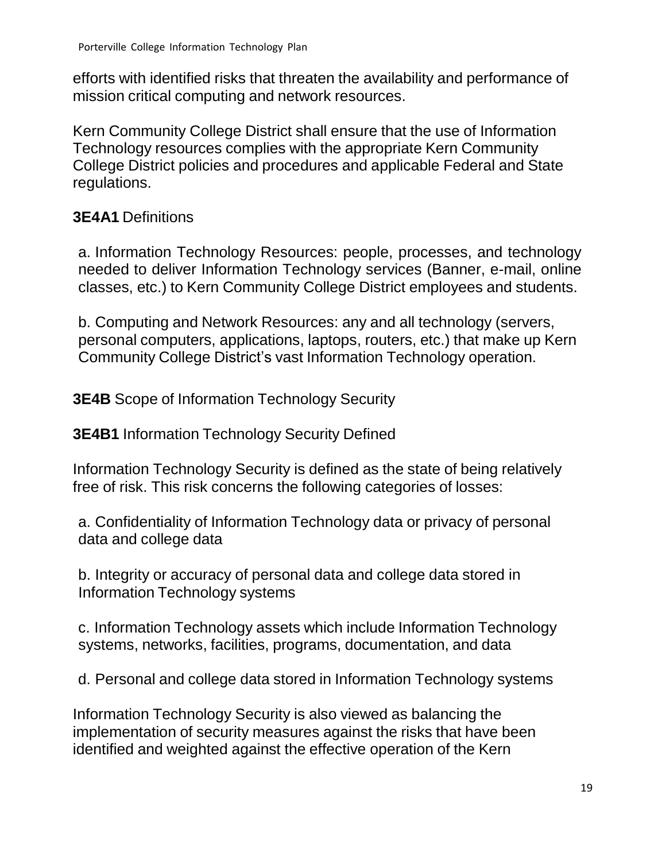efforts with identified risks that threaten the availability and performance of mission critical computing and network resources.

Kern Community College District shall ensure that the use of Information Technology resources complies with the appropriate Kern Community College District policies and procedures and applicable Federal and State regulations.

## **3E4A1** Definitions

a. Information Technology Resources: people, processes, and technology needed to deliver Information Technology services (Banner, e-mail, online classes, etc.) to Kern Community College District employees and students.

b. Computing and Network Resources: any and all technology (servers, personal computers, applications, laptops, routers, etc.) that make up Kern Community College District's vast Information Technology operation.

**3E4B** Scope of Information Technology Security

**3E4B1** Information Technology Security Defined

Information Technology Security is defined as the state of being relatively free of risk. This risk concerns the following categories of losses:

a. Confidentiality of Information Technology data or privacy of personal data and college data

b. Integrity or accuracy of personal data and college data stored in Information Technology systems

c. Information Technology assets which include Information Technology systems, networks, facilities, programs, documentation, and data

d. Personal and college data stored in Information Technology systems

Information Technology Security is also viewed as balancing the implementation of security measures against the risks that have been identified and weighted against the effective operation of the Kern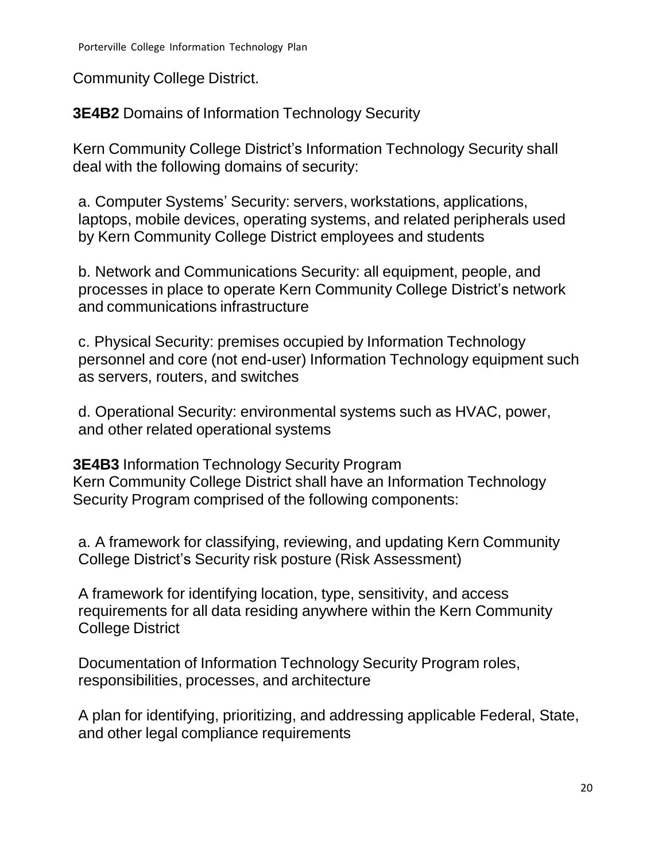Community College District.

**3E4B2** Domains of Information Technology Security

Kern Community College District's Information Technology Security shall deal with the following domains of security:

a. Computer Systems' Security: servers, workstations, applications, laptops, mobile devices, operating systems, and related peripherals used by Kern Community College District employees and students

b. Network and Communications Security: all equipment, people, and processes in place to operate Kern Community College District's network and communications infrastructure

c. Physical Security: premises occupied by Information Technology personnel and core (not end-user) Information Technology equipment such as servers, routers, and switches

d. Operational Security: environmental systems such as HVAC, power, and other related operational systems

**3E4B3** Information Technology Security Program Kern Community College District shall have an Information Technology Security Program comprised of the following components:

a. A framework for classifying, reviewing, and updating Kern Community College District's Security risk posture (Risk Assessment)

A framework for identifying location, type, sensitivity, and access requirements for all data residing anywhere within the Kern Community College District

Documentation of Information Technology Security Program roles, responsibilities, processes, and architecture

A plan for identifying, prioritizing, and addressing applicable Federal, State, and other legal compliance requirements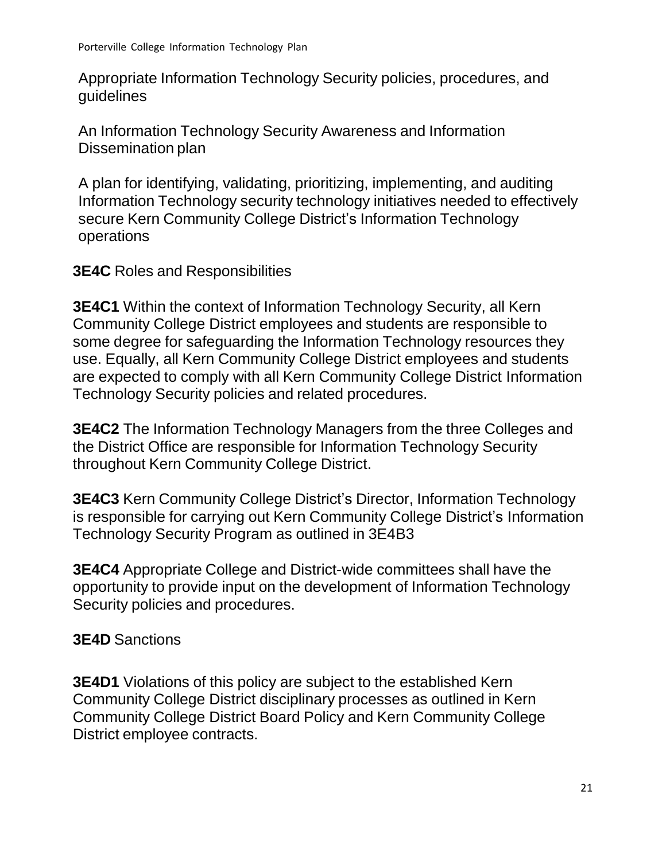Appropriate Information Technology Security policies, procedures, and guidelines

An Information Technology Security Awareness and Information Dissemination plan

A plan for identifying, validating, prioritizing, implementing, and auditing Information Technology security technology initiatives needed to effectively secure Kern Community College District's Information Technology operations

#### **3E4C** Roles and Responsibilities

**3E4C1** Within the context of Information Technology Security, all Kern Community College District employees and students are responsible to some degree for safeguarding the Information Technology resources they use. Equally, all Kern Community College District employees and students are expected to comply with all Kern Community College District Information Technology Security policies and related procedures.

**3E4C2** The Information Technology Managers from the three Colleges and the District Office are responsible for Information Technology Security throughout Kern Community College District.

**3E4C3** Kern Community College District's Director, Information Technology is responsible for carrying out Kern Community College District's Information Technology Security Program as outlined in 3E4B3

**3E4C4** Appropriate College and District-wide committees shall have the opportunity to provide input on the development of Information Technology Security policies and procedures.

#### **3E4D** Sanctions

**3E4D1** Violations of this policy are subject to the established Kern Community College District disciplinary processes as outlined in Kern Community College District Board Policy and Kern Community College District employee contracts.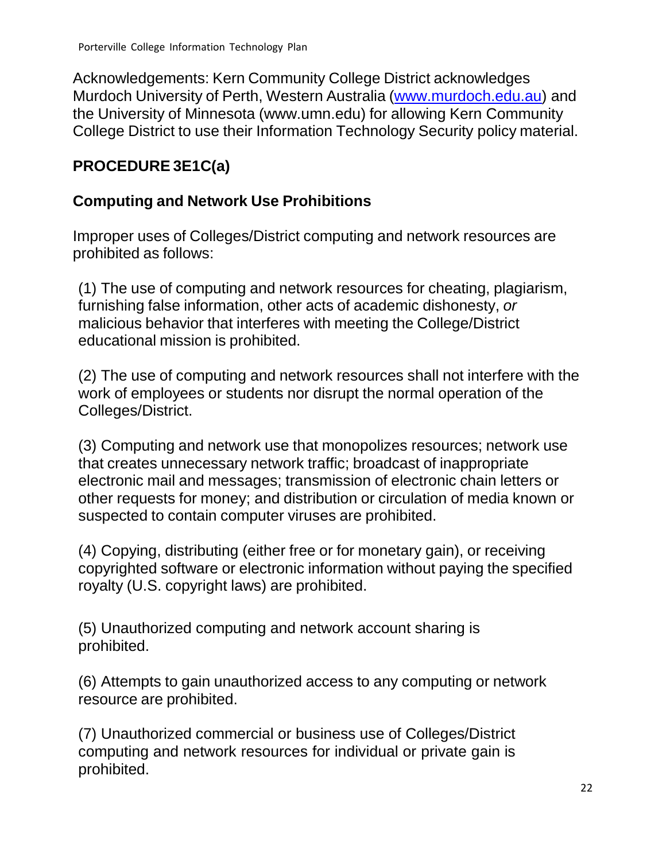Acknowledgements: Kern Community College District acknowledges Murdoch University of Perth, Western Australia [\(www.murdoch.edu.au\)](http://www.murdoch.edu.au/) and the University of Minnesota (www.umn.edu) for allowing Kern Community College District to use their Information Technology Security policy material.

# **PROCEDURE 3E1C(a)**

## **Computing and Network Use Prohibitions**

Improper uses of Colleges/District computing and network resources are prohibited as follows:

(1) The use of computing and network resources for cheating, plagiarism, furnishing false information, other acts of academic dishonesty, *or* malicious behavior that interferes with meeting the College/District educational mission is prohibited.

(2) The use of computing and network resources shall not interfere with the work of employees or students nor disrupt the normal operation of the Colleges/District.

(3) Computing and network use that monopolizes resources; network use that creates unnecessary network traffic; broadcast of inappropriate electronic mail and messages; transmission of electronic chain letters or other requests for money; and distribution or circulation of media known or suspected to contain computer viruses are prohibited.

(4) Copying, distributing (either free or for monetary gain), or receiving copyrighted software or electronic information without paying the specified royalty (U.S. copyright laws) are prohibited.

(5) Unauthorized computing and network account sharing is prohibited.

(6) Attempts to gain unauthorized access to any computing or network resource are prohibited.

(7) Unauthorized commercial or business use of Colleges/District computing and network resources for individual or private gain is prohibited.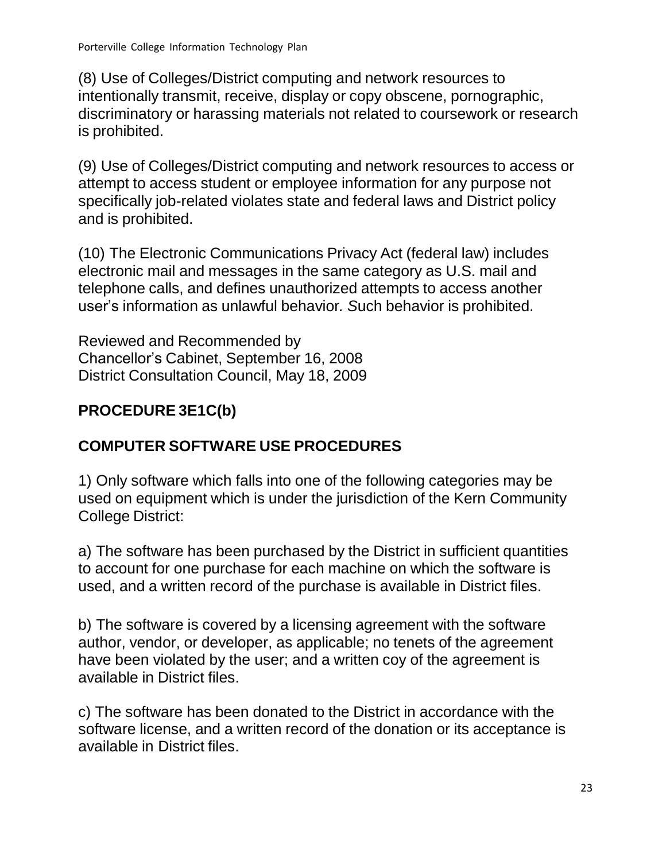(8) Use of Colleges/District computing and network resources to intentionally transmit, receive, display or copy obscene, pornographic, discriminatory or harassing materials not related to coursework or research is prohibited.

(9) Use of Colleges/District computing and network resources to access or attempt to access student or employee information for any purpose not specifically job-related violates state and federal laws and District policy and is prohibited.

(10) The Electronic Communications Privacy Act (federal law) includes electronic mail and messages in the same category as U.S. mail and telephone calls, and defines unauthorized attempts to access another user's information as unlawful behavior*. S*uch behavior is prohibited.

Reviewed and Recommended by Chancellor's Cabinet, September 16, 2008 District Consultation Council, May 18, 2009

## <span id="page-22-0"></span>**PROCEDURE 3E1C(b)**

## **COMPUTER SOFTWARE USE PROCEDURES**

1) Only software which falls into one of the following categories may be used on equipment which is under the jurisdiction of the Kern Community College District:

a) The software has been purchased by the District in sufficient quantities to account for one purchase for each machine on which the software is used, and a written record of the purchase is available in District files.

b) The software is covered by a licensing agreement with the software author, vendor, or developer, as applicable; no tenets of the agreement have been violated by the user; and a written coy of the agreement is available in District files.

c) The software has been donated to the District in accordance with the software license, and a written record of the donation or its acceptance is available in District files.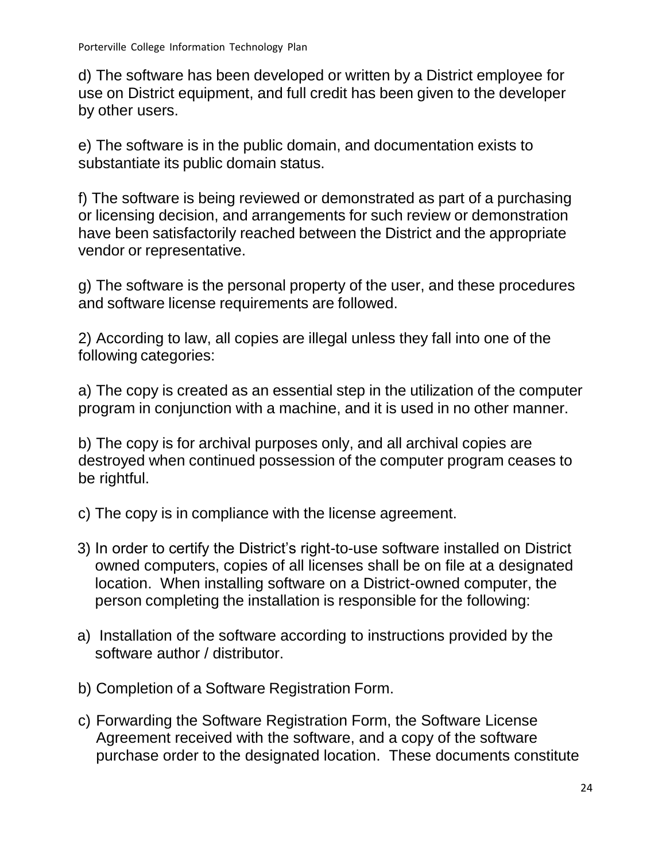d) The software has been developed or written by a District employee for use on District equipment, and full credit has been given to the developer by other users.

e) The software is in the public domain, and documentation exists to substantiate its public domain status.

f) The software is being reviewed or demonstrated as part of a purchasing or licensing decision, and arrangements for such review or demonstration have been satisfactorily reached between the District and the appropriate vendor or representative.

g) The software is the personal property of the user, and these procedures and software license requirements are followed.

2) According to law, all copies are illegal unless they fall into one of the following categories:

a) The copy is created as an essential step in the utilization of the computer program in conjunction with a machine, and it is used in no other manner.

b) The copy is for archival purposes only, and all archival copies are destroyed when continued possession of the computer program ceases to be rightful.

- c) The copy is in compliance with the license agreement.
- 3) In order to certify the District's right-to-use software installed on District owned computers, copies of all licenses shall be on file at a designated location. When installing software on a District-owned computer, the person completing the installation is responsible for the following:
- a) Installation of the software according to instructions provided by the software author / distributor.
- b) Completion of a Software Registration Form.
- c) Forwarding the Software Registration Form, the Software License Agreement received with the software, and a copy of the software purchase order to the designated location. These documents constitute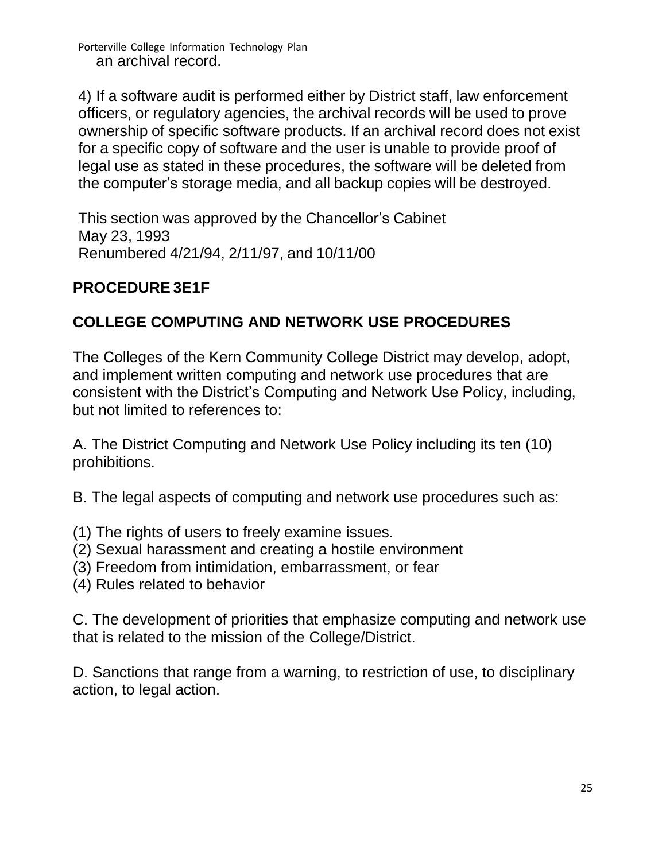Porterville College Information Technology Plan an archival record.

4) If a software audit is performed either by District staff, law enforcement officers, or regulatory agencies, the archival records will be used to prove ownership of specific software products. If an archival record does not exist for a specific copy of software and the user is unable to provide proof of legal use as stated in these procedures, the software will be deleted from the computer's storage media, and all backup copies will be destroyed.

This section was approved by the Chancellor's Cabinet May 23, 1993 Renumbered 4/21/94, 2/11/97, and 10/11/00

## **PROCEDURE 3E1F**

## **COLLEGE COMPUTING AND NETWORK USE PROCEDURES**

The Colleges of the Kern Community College District may develop, adopt, and implement written computing and network use procedures that are consistent with the District's Computing and Network Use Policy, including, but not limited to references to:

A. The District Computing and Network Use Policy including its ten (10) prohibitions.

B. The legal aspects of computing and network use procedures such as:

- (1) The rights of users to freely examine issues.
- (2) Sexual harassment and creating a hostile environment
- (3) Freedom from intimidation, embarrassment, or fear
- (4) Rules related to behavior

C. The development of priorities that emphasize computing and network use that is related to the mission of the College/District.

D. Sanctions that range from a warning, to restriction of use, to disciplinary action, to legal action.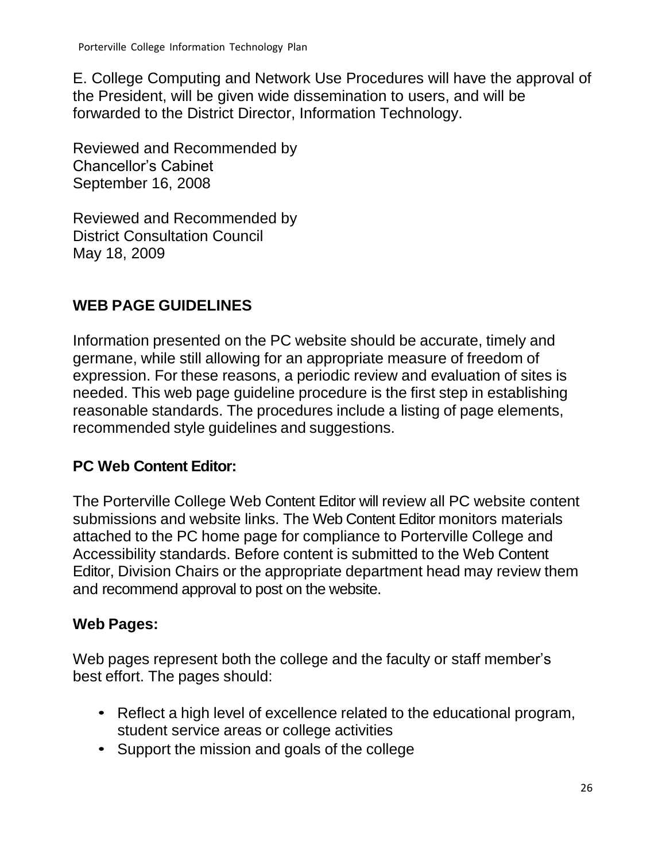E. College Computing and Network Use Procedures will have the approval of the President, will be given wide dissemination to users, and will be forwarded to the District Director, Information Technology.

Reviewed and Recommended by Chancellor's Cabinet September 16, 2008

Reviewed and Recommended by District Consultation Council May 18, 2009

## <span id="page-25-0"></span>**WEB PAGE GUIDELINES**

Information presented on the PC website should be accurate, timely and germane, while still allowing for an appropriate measure of freedom of expression. For these reasons, a periodic review and evaluation of sites is needed. This web page guideline procedure is the first step in establishing reasonable standards. The procedures include a listing of page elements, recommended style guidelines and suggestions.

## **PC Web Content Editor:**

The Porterville College Web Content Editor will review all PC website content submissions and website links. The Web Content Editor monitors materials attached to the PC home page for compliance to Porterville College and Accessibility standards. Before content is submitted to the Web Content Editor, Division Chairs or the appropriate department head may review them and recommend approval to post on the website.

## **Web Pages:**

Web pages represent both the college and the faculty or staff member's best effort. The pages should:

- Reflect a high level of excellence related to the educational program, student service areas or college activities
- Support the mission and goals of the college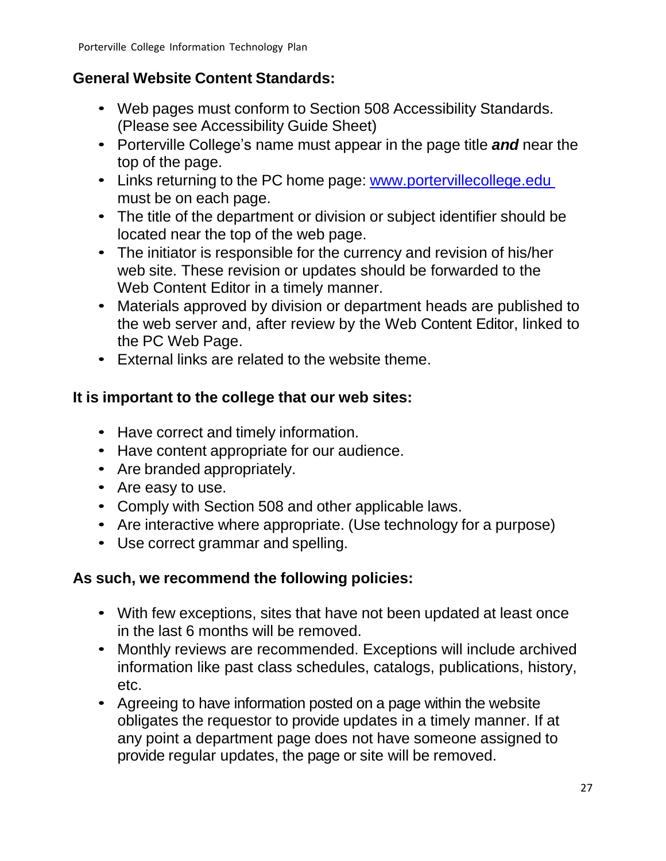## **General Website Content Standards:**

- Web pages must conform to Section 508 Accessibility Standards. (Please see Accessibility Guide Sheet)
- Porterville College's name must appear in the page title *and* near the top of the page.
- Links returning to the PC home page: [www.portervillecollege.edu](http://www.portervillecollege.edu/) must be on each page.
- The title of the department or division or subject identifier should be located near the top of the web page.
- The initiator is responsible for the currency and revision of his/her web site. These revision or updates should be forwarded to the Web Content Editor in a timely manner.
- Materials approved by division or department heads are published to the web server and, after review by the Web Content Editor, linked to the PC Web Page.
- External links are related to the website theme.

## **It is important to the college that our web sites:**

- Have correct and timely information.
- Have content appropriate for our audience.
- Are branded appropriately.
- Are easy to use.
- Comply with Section 508 and other applicable laws.
- Are interactive where appropriate. (Use technology for a purpose)
- Use correct grammar and spelling.

## **As such, we recommend the following policies:**

- With few exceptions, sites that have not been updated at least once in the last 6 months will be removed.
- Monthly reviews are recommended. Exceptions will include archived information like past class schedules, catalogs, publications, history, etc.
- Agreeing to have information posted on a page within the website obligates the requestor to provide updates in a timely manner. If at any point a department page does not have someone assigned to provide regular updates, the page or site will be removed.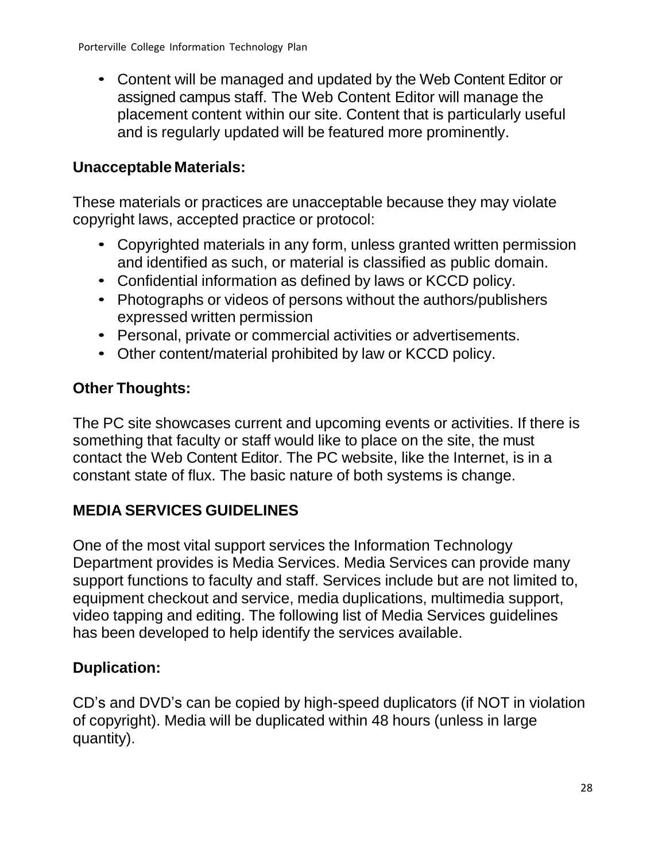• Content will be managed and updated by the Web Content Editor or assigned campus staff. The Web Content Editor will manage the placement content within our site. Content that is particularly useful and is regularly updated will be featured more prominently.

# **Unacceptable Materials:**

These materials or practices are unacceptable because they may violate copyright laws, accepted practice or protocol:

- Copyrighted materials in any form, unless granted written permission and identified as such, or material is classified as public domain.
- Confidential information as defined by laws or KCCD policy.
- Photographs or videos of persons without the authors/publishers expressed written permission
- Personal, private or commercial activities or advertisements.
- Other content/material prohibited by law or KCCD policy.

# **Other Thoughts:**

The PC site showcases current and upcoming events or activities. If there is something that faculty or staff would like to place on the site, the must contact the Web Content Editor. The PC website, like the Internet, is in a constant state of flux. The basic nature of both systems is change.

# <span id="page-27-0"></span>**MEDIA SERVICES GUIDELINES**

One of the most vital support services the Information Technology Department provides is Media Services. Media Services can provide many support functions to faculty and staff. Services include but are not limited to, equipment checkout and service, media duplications, multimedia support, video tapping and editing. The following list of Media Services guidelines has been developed to help identify the services available.

# **Duplication:**

CD's and DVD's can be copied by high-speed duplicators (if NOT in violation of copyright). Media will be duplicated within 48 hours (unless in large quantity).